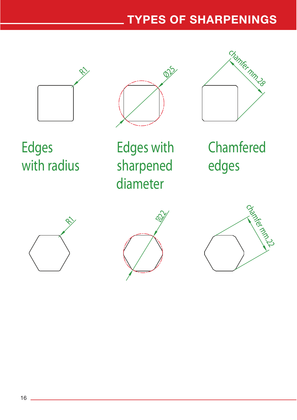## TYPES OF SHARPENINGS







Edges with radius Edges with sharpened diameter

Chamfered edges





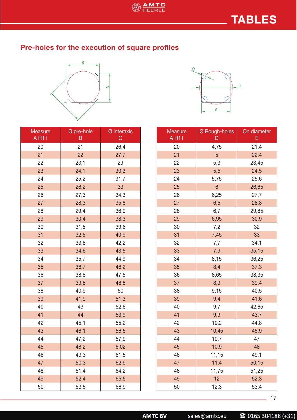## Pre-holes for the execution of square profiles



| <b>Measure</b><br>A H11 | Ø pre-hole<br>Β | Ø interaxis<br>C |  |
|-------------------------|-----------------|------------------|--|
| 20                      | 21              | 26,4             |  |
| 21                      | 22              | 27,7             |  |
| 22                      | 23,1            | 29               |  |
| 23                      | 24,1            | 30,3             |  |
| 24                      | 25,2            | 31,7             |  |
| 25                      | 26,2            | 33               |  |
| 26                      | 27,3            | 34,3             |  |
| 27                      | 28,3            | 35,6             |  |
| 28                      | 29,4            | 36,9             |  |
| 29                      | 30,4            | 38,3             |  |
| 30                      | 31,5            | 39,6             |  |
| 31                      | 32,5            | 40,9             |  |
| 32                      | 33,6            | 42,2             |  |
| 33                      | 34,6            | 43,5             |  |
| 34                      | 35,7            | 44,9             |  |
| 35                      | 36,7            | 46,2             |  |
| 36                      | 38,8            | 47,5             |  |
| 37                      | 39,8            | 48,8             |  |
| 38                      | 40,9            | 50               |  |
| 39                      | 41,9            | 51,3             |  |
| 40                      | 43              | 52,6             |  |
| 41                      | 44              | 53,9             |  |
| 42                      | 45,1            | 55,2             |  |
| 43                      | 46,1            | 56,5             |  |
| 44                      | 47,2            | 57,9             |  |
| 45                      | 48,2            | 6,02             |  |
| 46                      | 49,3            | 61,5             |  |
| 47                      | 50,3            | 62,9             |  |
| 48                      | 51,4            | 64,2             |  |
| 49                      | 52,4            | 65,5             |  |
| 50                      | 53,5            | 66,9             |  |



| Measure<br>A H11 | Ø Rough-holes<br>D | On diameter<br>E |  |
|------------------|--------------------|------------------|--|
| 20               | 4,75<br>21,4       |                  |  |
| 21               | 5                  | 22,4             |  |
| 22               | 5,3                | 23,45            |  |
| 23               | 5,5                | 24,5             |  |
| 24               | 5,75               | 25,6             |  |
| 25               | 6                  | 26,65            |  |
| 26               | 6,25               | 27,7             |  |
| 27               | 6,5                | 28,8             |  |
| 28               | 6,7                | 29,85            |  |
| 29               | 6,95               | 30,9             |  |
| 30               | 7,2                | 32               |  |
| 31               | 7,45               | 33               |  |
| 32               | 7,7                | 34,1             |  |
| 33               | 7,9                | 35,15            |  |
| 34               | 8,15               | 36,25            |  |
| 35               | 8,4                | 37,3             |  |
| 36               | 8,65               | 38,35            |  |
| 37               | 8,9                | 39,4             |  |
| 38               | 9,15               | 40,5             |  |
| 39               | 9,4                | 41,6             |  |
| 40               | 9,7                | 42,65            |  |
| 41               | 9,9                | 43,7             |  |
| 42               | 10,2               | 44,8             |  |
| 43               | 10,45              | 45,9             |  |
| 44               | 10,7               | 47               |  |
| 45               | 10,9               | 48               |  |
| 46               | 11,15              | 49,1             |  |
| 47               | 11,4               | 50,15            |  |
| 48               | 11,75              | 51,25            |  |
| 49               | 12                 | 52,3             |  |
| 50               | 12,3               | 53,4             |  |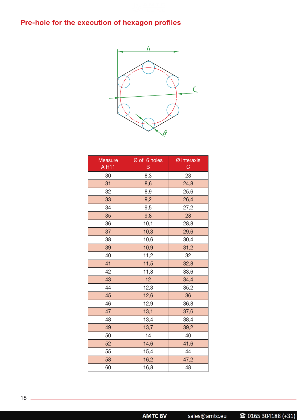## Pre-hole for the execution of hexagon profiles



| Measure<br>A H11 | Ø of 6 holes<br>B | Ø interaxis<br>$\mathsf C$ |  |
|------------------|-------------------|----------------------------|--|
| 30               | 8,3               | 23                         |  |
| 31               | 8,6               | 24,8                       |  |
| 32               | 8,9               | 25,6                       |  |
| 33               | 9,2               | 26,4                       |  |
| 34               | 9,5               | 27,2                       |  |
| 35               | 9,8               | 28                         |  |
| 36               | 10,1              | 28,8                       |  |
| 37               | 10,3              | 29,6                       |  |
| 38               | 10,6              | 30,4                       |  |
| 39               | 10,9              | 31,2                       |  |
| 40               | 11,2              | 32                         |  |
| 41               | 11,5              | 32,8                       |  |
| 42               | 11,8              | 33,6                       |  |
| 43               | 12                | 34,4                       |  |
| 44               | 12,3              | 35,2                       |  |
| 45               | 12,6              | 36                         |  |
| 46               | 12,9              | 36,8                       |  |
| 47               | 13,1              | 37,6                       |  |
| 48               | 13,4              | 38,4                       |  |
| 49               | 13,7              | 39,2                       |  |
| 50               | 14                | 40                         |  |
| 52               | 14,6              | 41,6                       |  |
| 55               | 15,4              | 44                         |  |
| 58               | 16,2              | 47,2                       |  |
| 60               | 16,8              | 48                         |  |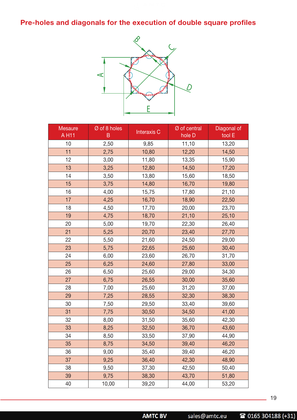Pre-holes and diagonals for the execution of double square profiles



| Mesaure<br>A H11 | Ø of 8 holes<br>B | <b>Interaxis C</b> | Ø of central<br>hole D | Diagonal of<br>tool E |
|------------------|-------------------|--------------------|------------------------|-----------------------|
| 10               | 2,50              | 9,85               | 11,10                  | 13,20                 |
| 11               | 2,75              | 10,80              | 12,20                  | 14,50                 |
| 12               | 3,00              | 11,80              | 13,35                  | 15,90                 |
| 13               | 3,25              | 12,80              | 14,50                  | 17,20                 |
| 14               | 3,50              | 13,80              | 15,60                  | 18,50                 |
| 15               | 3,75              | 14,80              | 16,70                  | 19,80                 |
| 16               | 4,00              | 15,75              | 17,80                  | 21,10                 |
| 17               | 4,25              | 16,70              | 18,90                  | 22,50                 |
| 18               | 4,50              | 17,70              | 20,00                  | 23,70                 |
| 19               | 4,75              | 18,70              | 21,10                  | 25,10                 |
| 20               | 5,00              | 19,70              | 22,30                  | 26,40                 |
| 21               | 5,25              | 20,70              | 23,40                  | 27,70                 |
| 22               | 5,50              | 21,60              | 24,50                  | 29,00                 |
| 23               | 5,75              | 22,65              | 25,60                  | 30,40                 |
| 24               | 6,00              | 23,60              | 26,70                  | 31,70                 |
| 25               | 6,25              | 24,60              | 27,80                  | 33,00                 |
| 26               | 6,50              | 25,60              | 29,00                  | 34,30                 |
| 27               | 6,75              | 26,55              | 30,00                  | 35,60                 |
| 28               | 7,00              | 25,60              | 31,20                  | 37,00                 |
| 29               | 7,25              | 28,55              | 32,30                  | 38,30                 |
| 30               | 7,50              | 29,50              | 33,40                  | 39,60                 |
| 31               | 7,75              | 30,50              | 34,50                  | 41,00                 |
| 32               | 8,00              | 31,50              | 35,60                  | 42,30                 |
| 33               | 8,25              | 32,50              | 36,70                  | 43,60                 |
| 34               | 8,50              | 33,50              | 37,90                  | 44,90                 |
| 35               | 8,75              | 34,50              | 39,40                  | 46,20                 |
| 36               | 9,00              | 35,40              | 39,40                  | 46,20                 |
| 37               | 9,25              | 36,40              | 42,30                  | 48,90                 |
| 38               | 9,50              | 37,30              | 42,50                  | 50,40                 |
| 39               | 9,75              | 38,30              | 43,70                  | 51,80                 |
| 40               | 10,00             | 39,20              | 44,00                  | 53,20                 |